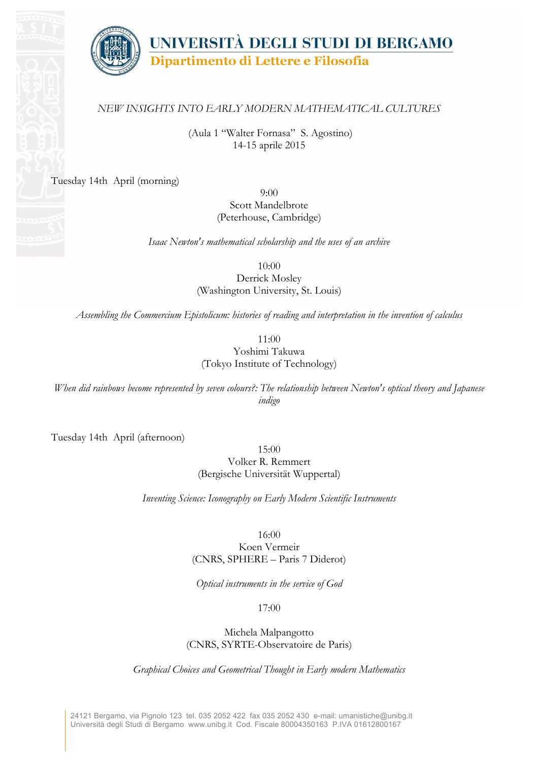

## *NEW INSIGHTS INTO EARLY MODERN MATHEMATICAL CULTURES*

(Aula 1 "Walter Fornasa" S. Agostino) 14-15 aprile 2015

Tuesday 14th April (morning)

9:00 Scott Mandelbrote (Peterhouse, Cambridge)

*Isaac Newton's mathematical scholarship and the uses of an archive*

10:00

Derrick Mosley (Washington University, St. Louis)

*Assembling the Commercium Epistolicum: histories of reading and interpretation in the invention of calculus*

11:00 Yoshimi Takuwa (Tokyo Institute of Technology)

*When did rainbows become represented by seven colours?: The relationship between Newton's optical theory and Japanese indigo*

Tuesday 14th April (afternoon)

15:00

Volker R. Remmert (Bergische Universität Wuppertal)

*Inventing Science: Iconography on Early Modern Scientific Instruments*

16:00

Koen Vermeir (CNRS, SPHERE – Paris 7 Diderot)

*Optical instruments in the service of God*

17:00

Michela Malpangotto (CNRS, SYRTE-Observatoire de Paris)

*Graphical Choices and Geometrical Thought in Early modern Mathematics*

24121 Bergamo, via Pignolo 123 tel. 035 2052 422 fax 035 2052 430 e-mail: umanistiche@unibg.it Università degli Studi di Bergamo www.unibg.it Cod. Fiscale 80004350163 P.IVA 01612800167